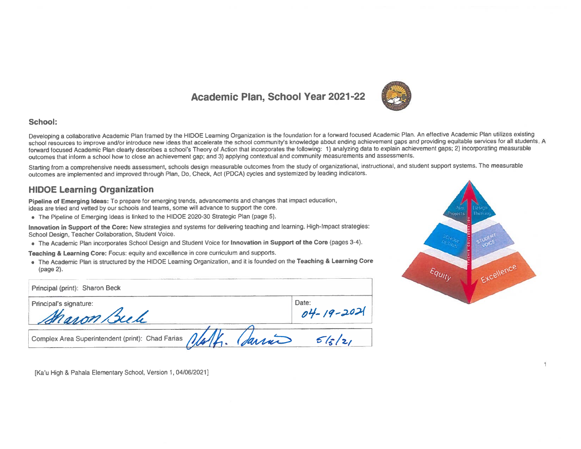### **Academic Plan, School Year 2021-22**



#### School:

Developing a collaborative Academic Plan framed by the HIDOE Learning Organization is the foundation for a forward focused Academic Plan. An effective Academic Plan utilizes existing school resources to improve and/or introduce new ideas that accelerate the school community's knowledge about ending achievement gaps and providing equitable services for all students. A forward focused Academic Plan clearly describes a school's Theory of Action that incorporates the following: 1) analyzing data to explain achievement gaps; 2) incorporating measurable outcomes that inform a school how to close an achievement gap; and 3) applying contextual and community measurements and assessments.

Starting from a comprehensive needs assessment, schools design measurable outcomes from the study of organizational, instructional, and student support systems. The measurable outcomes are implemented and improved through Plan, Do, Check, Act (PDCA) cycles and systemized by leading indicators.

#### **HIDOE Learning Organization**

Pipeline of Emerging Ideas: To prepare for emerging trends, advancements and changes that impact education, ideas are tried and vetted by our schools and teams, some will advance to support the core.

• The Pipeline of Emerging Ideas is linked to the HIDOE 2020-30 Strategic Plan (page 5).

Innovation in Support of the Core: New strategies and systems for delivering teaching and learning. High-Impact strategies: School Design, Teacher Collaboration, Student Voice.

. The Academic Plan incorporates School Design and Student Voice for Innovation in Support of the Core (pages 3-4).

Teaching & Learning Core: Focus: equity and excellence in core curriculum and supports.

. The Academic Plan is structured by the HIDOE Learning Organization, and it is founded on the Teaching & Learning Core (page 2).

| Principal (print): Sharon Beck                                |                          |
|---------------------------------------------------------------|--------------------------|
| Principal's signature:<br>Maron Beek                          | Date:<br>$04 - 19 - 202$ |
| Complex Area Superintendent (print): Chad Farias $\sqrt{1/2}$ | Sarris<br>5/2/21         |



1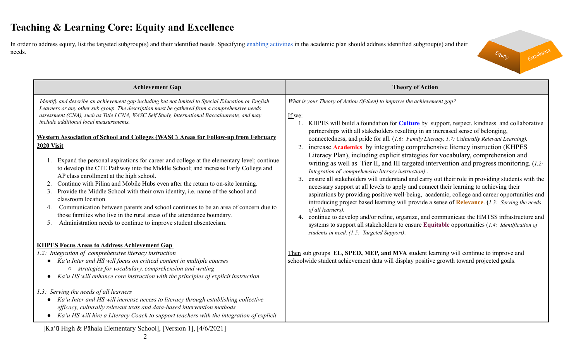In order to address equity, list the targeted subgroup(s) and their identified needs. Specifying enabling [activities](https://docs.google.com/document/d/1_CBCCCUPTqpr2sEeh1fQ9EUVupyhBBZlYUdzcm9zCw0/edit) in the academic plan should address identified subgroup(s) and their needs.



| <b>Theory of Action</b>                                                                                                                                                                                                                                                                                                                                                                                                                                                                                                                                                                                                                                                                                                                                                                                                                                                                                                                                                                                                                                                                                                                                                                                                                                                                                                                                                           |
|-----------------------------------------------------------------------------------------------------------------------------------------------------------------------------------------------------------------------------------------------------------------------------------------------------------------------------------------------------------------------------------------------------------------------------------------------------------------------------------------------------------------------------------------------------------------------------------------------------------------------------------------------------------------------------------------------------------------------------------------------------------------------------------------------------------------------------------------------------------------------------------------------------------------------------------------------------------------------------------------------------------------------------------------------------------------------------------------------------------------------------------------------------------------------------------------------------------------------------------------------------------------------------------------------------------------------------------------------------------------------------------|
| What is your Theory of Action (if-then) to improve the achievement gap?<br>If we:<br>KHPES will build a foundation for <b>Culture</b> by support, respect, kindness and collaborative<br>partnerships with all stakeholders resulting in an increased sense of belonging,<br>connectedness, and pride for all. (1.6: Family Literacy, 1.7: Culturally Relevant Learning).<br>increase Academics by integrating comprehensive literacy instruction (KHPES<br>Literacy Plan), including explicit strategies for vocabulary, comprehension and<br>writing as well as Tier II, and III targeted intervention and progress monitoring. (1.2:<br>Integration of comprehensive literacy instruction).<br>ensure all stakeholders will understand and carry out their role in providing students with the<br>3.<br>necessary support at all levels to apply and connect their learning to achieving their<br>aspirations by providing positive well-being, academic, college and career opportunities and<br>introducing project based learning will provide a sense of <b>Relevance</b> . (1.3: Serving the needs<br>of all learners).<br>continue to develop and/or refine, organize, and communicate the HMTSS infrastructure and<br>4.<br>systems to support all stakeholders to ensure Equitable opportunities (1.4: Identification of<br>students in need, (1.5: Targeted Support). |
| Then sub groups <b>EL, SPED, MEP, and MVA</b> student learning will continue to improve and<br>schoolwide student achievement data will display positive growth toward projected goals.                                                                                                                                                                                                                                                                                                                                                                                                                                                                                                                                                                                                                                                                                                                                                                                                                                                                                                                                                                                                                                                                                                                                                                                           |
| Expand the personal aspirations for career and college at the elementary level; continue                                                                                                                                                                                                                                                                                                                                                                                                                                                                                                                                                                                                                                                                                                                                                                                                                                                                                                                                                                                                                                                                                                                                                                                                                                                                                          |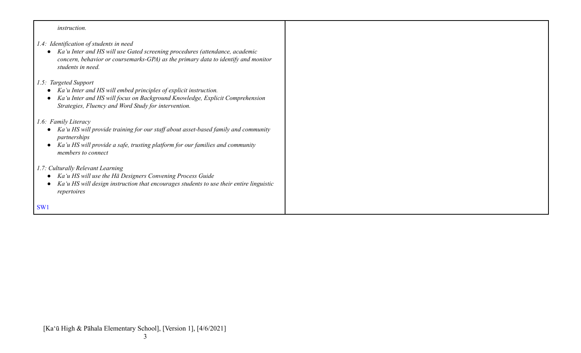| <i>instruction.</i>                                                                                                                                                                                                                            |  |
|------------------------------------------------------------------------------------------------------------------------------------------------------------------------------------------------------------------------------------------------|--|
| 1.4: Identification of students in need<br>Ka'u Inter and HS will use Gated screening procedures (attendance, academic<br>$\bullet$<br>concern, behavior or coursemarks-GPA) as the primary data to identify and monitor<br>students in need.  |  |
| 1.5: Targeted Support<br>Ka'u Inter and HS will embed principles of explicit instruction.<br>Ka'u Inter and HS will focus on Background Knowledge, Explicit Comprehension<br>Strategies, Fluency and Word Study for intervention.              |  |
| 1.6: Family Literacy<br>Ka'u HS will provide training for our staff about asset-based family and community<br>$\bullet$<br>partnerships<br>Ka'u HS will provide a safe, trusting platform for our families and community<br>members to connect |  |
| 1.7: Culturally Relevant Learning<br>Ka'u HS will use the Hā Designers Convening Process Guide<br>$\bullet$<br>Ka'u HS will design instruction that encourages students to use their entire linguistic<br>repertoires                          |  |
| SW <sub>1</sub>                                                                                                                                                                                                                                |  |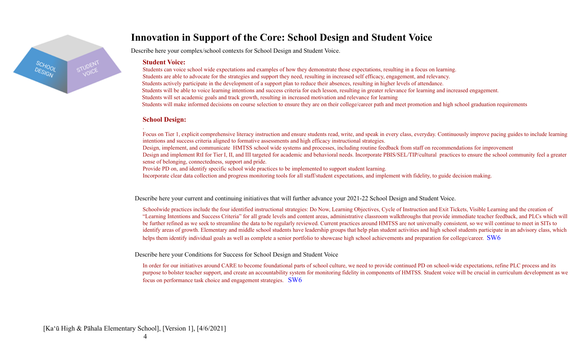

### **Innovation in Support of the Core: School Design and Student Voice**

Describe here your complex/school contexts for School Design and Student Voice.

#### **Student Voice:**

Students can voice school wide expectations and examples of how they demonstrate those expectations, resulting in a focus on learning. Students are able to advocate for the strategies and support they need, resulting in increased self efficacy, engagement, and relevancy. Students actively participate in the development of a support plan to reduce their absences, resulting in higher levels of attendance. Students will be able to voice learning intentions and success criteria for each lesson, resulting in greater relevance for learning and increased engagement. Students will set academic goals and track growth, resulting in increased motivation and relevance for learning Students will make informed decisions on course selection to ensure they are on their college/career path and meet promotion and high school graduation requirements

### **School Design:**

.

Focus on Tier 1, explicit comprehensive literacy instruction and ensure students read, write, and speak in every class, everyday. Continuously improve pacing guides to include learning intentions and success criteria aligned to formative assessments and high efficacy instructional strategies.

Design, implement, and communicate HMTSS school wide systems and processes, including routine feedback from staff on recommendations for improvement

Design and implement RtI for Tier I, II, and III targeted for academic and behavioral needs. Incorporate PBIS/SEL/TIP/cultural practices to ensure the school community feel a greater sense of belonging, connectedness, support and pride.

Provide PD on, and identify specific school wide practices to be implemented to support student learning.

Incorporate clear data collection and progress monitoring tools for all staff/student expectations, and implement with fidelity, to guide decision making.

Describe here your current and continuing initiatives that will further advance your 2021-22 School Design and Student Voice.

Schoolwide practices include the four identified instructional strategies: Do Now, Learning Objectives, Cycle of Instruction and Exit Tickets, Visible Learning and the creation of "Learning Intentions and Success Criteria" for all grade levels and content areas, administrative classroom walkthroughs that provide immediate teacher feedback, and PLCs which will be further refined as we seek to streamline the data to be regularly reviewed. Current practices around HMTSS are not universally consistent, so we will continue to meet in SITs to identify areas of growth. Elementary and middle school students have leadership groups that help plan student activities and high school students participate in an advisory class, which helps them identify individual goals as well as complete a senior portfolio to showcase high school achievements and preparation for college/career. SW6

Describe here your Conditions for Success for School Design and Student Voice

In order for our initiatives around CARE to become foundational parts of school culture, we need to provide continued PD on school-wide expectations, refine PLC process and its purpose to bolster teacher support, and create an accountability system for monitoring fidelity in components of HMTSS. Student voice will be crucial in curriculum development as we focus on performance task choice and engagement strategies. SW6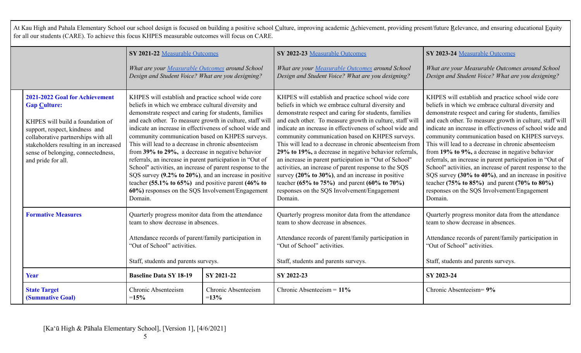At Kau High and Pahala Elementary School our school design is focused on building a positive school Culture, improving academic Achievement, providing present/future Relevance, and ensuring educational Equity for all our students (CARE). To achieve this focus KHPES measurable outcomes will focus on CARE.

|                                                                                                                                                                                                                                                                          | SY 2021-22 Measurable Outcomes<br>What are your Measurable Outcomes around School<br>Design and Student Voice? What are you designing?                                                                                                                                                                                                                                                                                                                                                                                                                                                                                                                                                                                                                                                                                                                                                                                                                                                      |                               | SY 2022-23 Measurable Outcomes<br>What are your Measurable Outcomes around School<br>Design and Student Voice? What are you designing?                                                                                                                                                                                                                                                                                                                                                                                                                                                                                                                                                                                                                            | SY 2023-24 Measurable Outcomes<br>What are your Measurable Outcomes around School<br>Design and Student Voice? What are you designing?                                                                                                                                                                                                                                                                                                                                                                                                                                                                                                                                                                                                             |
|--------------------------------------------------------------------------------------------------------------------------------------------------------------------------------------------------------------------------------------------------------------------------|---------------------------------------------------------------------------------------------------------------------------------------------------------------------------------------------------------------------------------------------------------------------------------------------------------------------------------------------------------------------------------------------------------------------------------------------------------------------------------------------------------------------------------------------------------------------------------------------------------------------------------------------------------------------------------------------------------------------------------------------------------------------------------------------------------------------------------------------------------------------------------------------------------------------------------------------------------------------------------------------|-------------------------------|-------------------------------------------------------------------------------------------------------------------------------------------------------------------------------------------------------------------------------------------------------------------------------------------------------------------------------------------------------------------------------------------------------------------------------------------------------------------------------------------------------------------------------------------------------------------------------------------------------------------------------------------------------------------------------------------------------------------------------------------------------------------|----------------------------------------------------------------------------------------------------------------------------------------------------------------------------------------------------------------------------------------------------------------------------------------------------------------------------------------------------------------------------------------------------------------------------------------------------------------------------------------------------------------------------------------------------------------------------------------------------------------------------------------------------------------------------------------------------------------------------------------------------|
| 2021-2022 Goal for Achievement<br><b>Gap Culture:</b><br>KHPES will build a foundation of<br>support, respect, kindness and<br>collaborative partnerships with all<br>stakeholders resulting in an increased<br>sense of belonging, connectedness,<br>and pride for all. | KHPES will establish and practice school wide core<br>beliefs in which we embrace cultural diversity and<br>demonstrate respect and caring for students, families<br>and each other. To measure growth in culture, staff will<br>indicate an increase in effectiveness of school wide and<br>community communication based on KHPES surveys.<br>This will lead to a decrease in chronic absenteeism<br>from 39% to 29%, a decrease in negative behavior<br>referrals, an increase in parent participation in "Out of<br>School" activities, an increase of parent response to the<br>SQS survey (9.2% to 20%), and an increase in positive<br>teacher (55.1% to 65%) and positive parent (46% to<br>60%) responses on the SQS Involvement/Engagement<br>Domain.<br>Quarterly progress monitor data from the attendance<br>team to show decrease in absences.<br>Attendance records of parent/family participation in<br>"Out of School" activities.<br>Staff, students and parents surveys. |                               | KHPES will establish and practice school wide core<br>beliefs in which we embrace cultural diversity and<br>demonstrate respect and caring for students, families<br>and each other. To measure growth in culture, staff will<br>indicate an increase in effectiveness of school wide and<br>community communication based on KHPES surveys.<br>This will lead to a decrease in chronic absenteeism from<br>29% to 19%, a decrease in negative behavior referrals,<br>an increase in parent participation in "Out of School"<br>activities, an increase of parent response to the SQS<br>survey $(20\% \text{ to } 30\%)$ , and an increase in positive<br>teacher (65% to 75%) and parent (60% to 70%)<br>responses on the SQS Involvement/Engagement<br>Domain. | KHPES will establish and practice school wide core<br>beliefs in which we embrace cultural diversity and<br>demonstrate respect and caring for students, families<br>and each other. To measure growth in culture, staff will<br>indicate an increase in effectiveness of school wide and<br>community communication based on KHPES surveys.<br>This will lead to a decrease in chronic absenteeism<br>from 19% to 9%, a decrease in negative behavior<br>referrals, an increase in parent participation in "Out of<br>School" activities, an increase of parent response to the<br>SQS survey (30% to 40%), and an increase in positive<br>teacher (75% to 85%) and parent (70% to 80%)<br>responses on the SQS Involvement/Engagement<br>Domain. |
| <b>Formative Measures</b>                                                                                                                                                                                                                                                |                                                                                                                                                                                                                                                                                                                                                                                                                                                                                                                                                                                                                                                                                                                                                                                                                                                                                                                                                                                             |                               | Quarterly progress monitor data from the attendance<br>team to show decrease in absences.<br>Attendance records of parent/family participation in<br>"Out of School" activities.<br>Staff, students and parents surveys.                                                                                                                                                                                                                                                                                                                                                                                                                                                                                                                                          | Quarterly progress monitor data from the attendance<br>team to show decrease in absences.<br>Attendance records of parent/family participation in<br>"Out of School" activities.<br>Staff, students and parents surveys.                                                                                                                                                                                                                                                                                                                                                                                                                                                                                                                           |
| Year                                                                                                                                                                                                                                                                     | <b>Baseline Data SY 18-19</b>                                                                                                                                                                                                                                                                                                                                                                                                                                                                                                                                                                                                                                                                                                                                                                                                                                                                                                                                                               | SY 2021-22                    | SY 2022-23                                                                                                                                                                                                                                                                                                                                                                                                                                                                                                                                                                                                                                                                                                                                                        | SY 2023-24                                                                                                                                                                                                                                                                                                                                                                                                                                                                                                                                                                                                                                                                                                                                         |
| <b>State Target</b><br>(Summative Goal)                                                                                                                                                                                                                                  | Chronic Absenteeism<br>$=15%$                                                                                                                                                                                                                                                                                                                                                                                                                                                                                                                                                                                                                                                                                                                                                                                                                                                                                                                                                               | Chronic Absenteeism<br>$=13%$ | Chronic Absenteeism = $11\%$                                                                                                                                                                                                                                                                                                                                                                                                                                                                                                                                                                                                                                                                                                                                      | Chronic Absenteeism= 9%                                                                                                                                                                                                                                                                                                                                                                                                                                                                                                                                                                                                                                                                                                                            |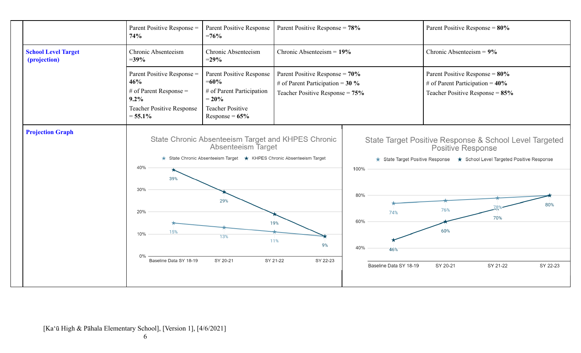|                                            | Parent Positive Response =<br>74%                                                                                          | Parent Positive Response<br>$=76%$                                                                                                                                        | Parent Positive Response = $78\%$                                                                            |                                                                   | Parent Positive Response = $80\%$                                                                                                                                                                                                |
|--------------------------------------------|----------------------------------------------------------------------------------------------------------------------------|---------------------------------------------------------------------------------------------------------------------------------------------------------------------------|--------------------------------------------------------------------------------------------------------------|-------------------------------------------------------------------|----------------------------------------------------------------------------------------------------------------------------------------------------------------------------------------------------------------------------------|
| <b>School Level Target</b><br>(projection) | Chronic Absenteeism<br>$= 39\%$                                                                                            | Chronic Absenteeism<br>$= 29\%$                                                                                                                                           | Chronic Absenteeism = $19\%$                                                                                 |                                                                   | Chronic Absenteeism = $9\%$                                                                                                                                                                                                      |
|                                            | Parent Positive Response =<br>46%<br># of Parent Response $=$<br>$9.2\%$<br><b>Teacher Positive Response</b><br>$= 55.1\%$ | Parent Positive Response<br>$=60%$<br># of Parent Participation<br>$= 20\%$<br><b>Teacher Positive</b><br>Response = $65\%$                                               | Parent Positive Response = $70\%$<br># of Parent Participation = $30\%$<br>Teacher Positive Response = $75%$ |                                                                   | Parent Positive Response = $80\%$<br># of Parent Participation = $40\%$<br>Teacher Positive Response = $85\%$                                                                                                                    |
| <b>Projection Graph</b>                    | 40%<br>39%<br>30%<br>20%<br>15%<br>10%<br>0%<br>Baseline Data SY 18-19                                                     | State Chronic Absenteeism Target and KHPES Chronic<br>Absenteeism Target<br>State Chronic Absenteeism Target ★ KHPES Chronic Absenteeism Target<br>29%<br>13%<br>SY 20-21 | 19%<br>11%<br>9%<br>SY 21-22<br>SY 22-23                                                                     | 100%<br>80%<br>74%<br>60%<br>40%<br>46%<br>Baseline Data SY 18-19 | State Target Positive Response & School Level Targeted<br><b>Positive Response</b><br>★ State Target Positive Response ★ School Level Targeted Positive Response<br>80%<br>76%<br>70%<br>60%<br>SY 20-21<br>SY 21-22<br>SY 22-23 |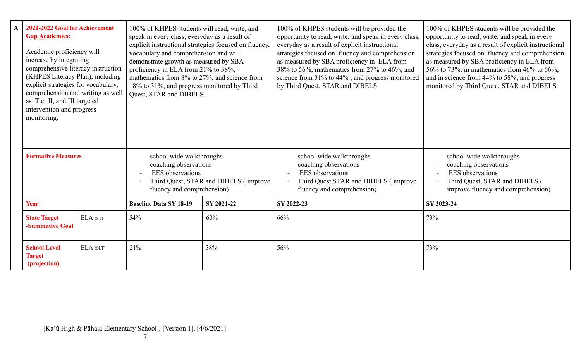|                           | 2021-2022 Goal for Achievement<br><b>Gap Academics:</b><br>Academic proficiency will<br>increase by integrating<br>comprehensive literacy instruction<br>(KHPES Literacy Plan), including<br>explicit strategies for vocabulary,<br>comprehension and writing as well<br>as Tier II, and III targeted<br>intervention and progress<br>monitoring. |                                                                                                                                                     | 100% of KHPES students will read, write, and<br>speak in every class, everyday as a result of<br>explicit instructional strategies focused on fluency,<br>vocabulary and comprehension and will<br>demonstrate growth as measured by SBA<br>proficiency in ELA from 21% to 38%,<br>mathematics from 8% to 27%, and science from<br>18% to 31%, and progress monitored by Third<br>Quest, STAR and DIBELS. |                                                                                                                                                     | 100% of KHPES students will be provided the<br>opportunity to read, write, and speak in every class,<br>everyday as a result of explicit instructional<br>strategies focused on fluency and comprehension<br>as measured by SBA proficiency in ELA from<br>38% to 56%, mathematics from 27% to 46%, and<br>science from 31% to 44%, and progress monitored<br>by Third Quest, STAR and DIBELS. | 100% of KHPES students will be provided the<br>opportunity to read, write, and speak in every<br>class, everyday as a result of explicit instructional<br>strategies focused on fluency and comprehension<br>as measured by SBA proficiency in ELA from<br>56% to 73%, in mathematics from 46% to 66%,<br>and in science from 44% to 58%, and progress<br>monitored by Third Quest, STAR and DIBELS. |  |
|---------------------------|---------------------------------------------------------------------------------------------------------------------------------------------------------------------------------------------------------------------------------------------------------------------------------------------------------------------------------------------------|-----------------------------------------------------------------------------------------------------------------------------------------------------|-----------------------------------------------------------------------------------------------------------------------------------------------------------------------------------------------------------------------------------------------------------------------------------------------------------------------------------------------------------------------------------------------------------|-----------------------------------------------------------------------------------------------------------------------------------------------------|------------------------------------------------------------------------------------------------------------------------------------------------------------------------------------------------------------------------------------------------------------------------------------------------------------------------------------------------------------------------------------------------|------------------------------------------------------------------------------------------------------------------------------------------------------------------------------------------------------------------------------------------------------------------------------------------------------------------------------------------------------------------------------------------------------|--|
| <b>Formative Measures</b> |                                                                                                                                                                                                                                                                                                                                                   | school wide walkthroughs<br>coaching observations<br><b>EES</b> observations<br>Third Quest, STAR and DIBELS (improve<br>fluency and comprehension) |                                                                                                                                                                                                                                                                                                                                                                                                           | school wide walkthroughs<br>coaching observations<br><b>EES</b> observations<br>Third Quest, STAR and DIBELS (improve<br>fluency and comprehension) | school wide walkthroughs<br>coaching observations<br><b>EES</b> observations<br>Third Quest, STAR and DIBELS (<br>improve fluency and comprehension)                                                                                                                                                                                                                                           |                                                                                                                                                                                                                                                                                                                                                                                                      |  |
|                           | Year                                                                                                                                                                                                                                                                                                                                              |                                                                                                                                                     | <b>Baseline Data SY 18-19</b>                                                                                                                                                                                                                                                                                                                                                                             | SY 2021-22                                                                                                                                          | SY 2022-23                                                                                                                                                                                                                                                                                                                                                                                     | SY 2023-24                                                                                                                                                                                                                                                                                                                                                                                           |  |
|                           | ELA (ST)<br><b>State Target</b><br>-Summative Goal                                                                                                                                                                                                                                                                                                |                                                                                                                                                     | 54%                                                                                                                                                                                                                                                                                                                                                                                                       | 60%                                                                                                                                                 | 66%                                                                                                                                                                                                                                                                                                                                                                                            | 73%                                                                                                                                                                                                                                                                                                                                                                                                  |  |
|                           | <b>School Level</b><br>ELA(SLT)<br><b>Target</b><br>(projection)                                                                                                                                                                                                                                                                                  |                                                                                                                                                     | 21%                                                                                                                                                                                                                                                                                                                                                                                                       | 38%                                                                                                                                                 | 56%                                                                                                                                                                                                                                                                                                                                                                                            | 73%                                                                                                                                                                                                                                                                                                                                                                                                  |  |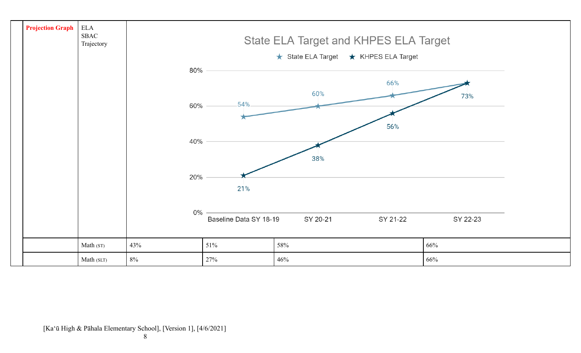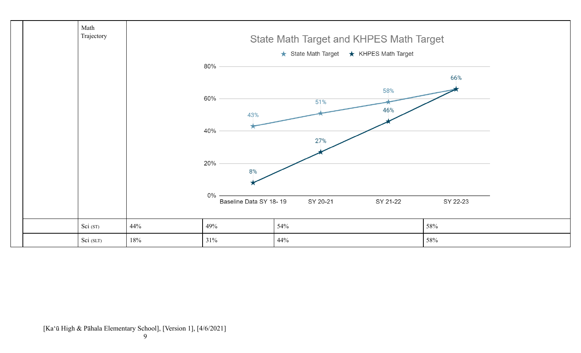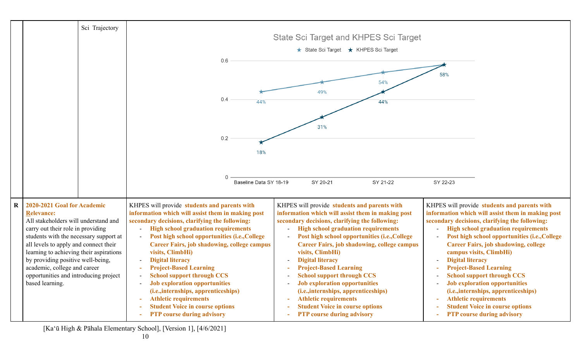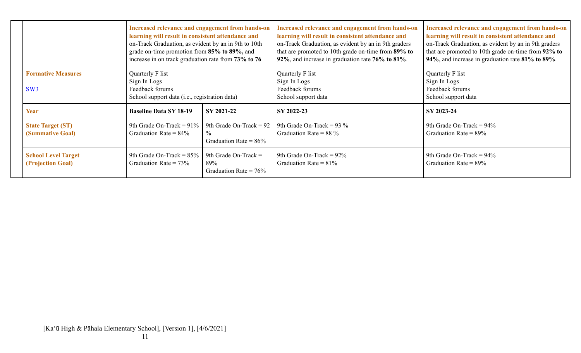|                                                 | Increased relevance and engagement from hands-on<br>learning will result in consistent attendance and<br>on-Track Graduation, as evident by an in 9th to 10th<br>grade on-time promotion from 85% to 89%, and<br>increase in on track graduation rate from 73% to 76 |                                                                        | Increased relevance and engagement from hands-on<br>learning will result in consistent attendance and<br>on-Track Graduation, as evident by an in 9th graders<br>that are promoted to 10th grade on-time from 89% to<br>92%, and increase in graduation rate 76% to 81%. | Increased relevance and engagement from hands-on<br>learning will result in consistent attendance and<br>on-Track Graduation, as evident by an in 9th graders<br>that are promoted to 10th grade on-time from 92% to<br>94%, and increase in graduation rate 81% to 89%. |
|-------------------------------------------------|----------------------------------------------------------------------------------------------------------------------------------------------------------------------------------------------------------------------------------------------------------------------|------------------------------------------------------------------------|--------------------------------------------------------------------------------------------------------------------------------------------------------------------------------------------------------------------------------------------------------------------------|--------------------------------------------------------------------------------------------------------------------------------------------------------------------------------------------------------------------------------------------------------------------------|
| <b>Formative Measures</b><br>SW3                | Quarterly F list<br>Sign In Logs<br>Feedback forums<br>School support data (i.e., registration data)                                                                                                                                                                 |                                                                        | Quarterly F list<br>Sign In Logs<br>Feedback forums<br>School support data                                                                                                                                                                                               | Quarterly F list<br>Sign In Logs<br>Feedback forums<br>School support data                                                                                                                                                                                               |
| Year                                            | <b>Baseline Data SY 18-19</b><br>SY 2021-22                                                                                                                                                                                                                          |                                                                        | SY 2022-23                                                                                                                                                                                                                                                               | SY 2023-24                                                                                                                                                                                                                                                               |
| <b>State Target (ST)</b><br>(Summative Goal)    | 9th Grade On-Track = $91\%$<br>Graduation Rate = $84\%$                                                                                                                                                                                                              | 9th Grade On-Track = $92$<br>$\frac{0}{0}$<br>Graduation Rate = $86\%$ | 9th Grade On-Track = $93\%$<br>Graduation Rate = $88\%$                                                                                                                                                                                                                  | 9th Grade On-Track = $94\%$<br>Graduation Rate = $89\%$                                                                                                                                                                                                                  |
| <b>School Level Target</b><br>(Projection Goal) | 9th Grade On-Track = $85\%$<br>Graduation Rate = $73\%$                                                                                                                                                                                                              | 9th Grade On-Track $=$<br>89%<br>Graduation Rate = $76\%$              | 9th Grade On-Track = $92\%$<br>Graduation Rate = $81\%$                                                                                                                                                                                                                  | 9th Grade On-Track = $94\%$<br>Graduation Rate = $89\%$                                                                                                                                                                                                                  |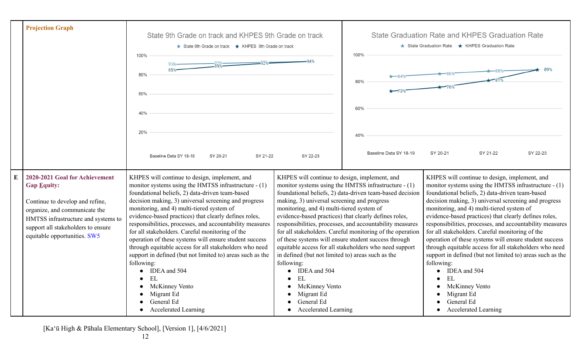|           | <b>Projection Graph</b>                                                                                                                                                                                                               | State 9th Grade on track and KHPES 9th Grade on track<br>State 9th Grade on track ★ KHPES 9th Grade on track<br>100%                                                                                                                                                                                                                                                                                                                                                                                                                                                                                                                                                                                                                                    | <b>State Graduation Rate and KHPES Graduation Rate</b><br>★ State Graduation Rate ★ KHPES Graduation Rate<br>100%                                                                                                                                                                                               |                                                                                                                                                                                                                                                                                                                                                                                                                      |                                                                                                                                                                                                                                                                                                                                                                                                                                                                                                                                                                                                                                                                                                                                                |          |          |
|-----------|---------------------------------------------------------------------------------------------------------------------------------------------------------------------------------------------------------------------------------------|---------------------------------------------------------------------------------------------------------------------------------------------------------------------------------------------------------------------------------------------------------------------------------------------------------------------------------------------------------------------------------------------------------------------------------------------------------------------------------------------------------------------------------------------------------------------------------------------------------------------------------------------------------------------------------------------------------------------------------------------------------|-----------------------------------------------------------------------------------------------------------------------------------------------------------------------------------------------------------------------------------------------------------------------------------------------------------------|----------------------------------------------------------------------------------------------------------------------------------------------------------------------------------------------------------------------------------------------------------------------------------------------------------------------------------------------------------------------------------------------------------------------|------------------------------------------------------------------------------------------------------------------------------------------------------------------------------------------------------------------------------------------------------------------------------------------------------------------------------------------------------------------------------------------------------------------------------------------------------------------------------------------------------------------------------------------------------------------------------------------------------------------------------------------------------------------------------------------------------------------------------------------------|----------|----------|
|           |                                                                                                                                                                                                                                       | 85%<br>80%<br>60%                                                                                                                                                                                                                                                                                                                                                                                                                                                                                                                                                                                                                                                                                                                                       | $\star$ –84%<br>80%<br>$\star$ -73%<br>60%                                                                                                                                                                                                                                                                      |                                                                                                                                                                                                                                                                                                                                                                                                                      |                                                                                                                                                                                                                                                                                                                                                                                                                                                                                                                                                                                                                                                                                                                                                |          |          |
|           |                                                                                                                                                                                                                                       | 40%                                                                                                                                                                                                                                                                                                                                                                                                                                                                                                                                                                                                                                                                                                                                                     |                                                                                                                                                                                                                                                                                                                 |                                                                                                                                                                                                                                                                                                                                                                                                                      |                                                                                                                                                                                                                                                                                                                                                                                                                                                                                                                                                                                                                                                                                                                                                |          |          |
|           |                                                                                                                                                                                                                                       | 20%<br>Baseline Data SY 18-19<br>SY 20-21<br>SY 21-22                                                                                                                                                                                                                                                                                                                                                                                                                                                                                                                                                                                                                                                                                                   | SY 22-23                                                                                                                                                                                                                                                                                                        | 40%<br>Baseline Data SY 18-19                                                                                                                                                                                                                                                                                                                                                                                        | SY 20-21                                                                                                                                                                                                                                                                                                                                                                                                                                                                                                                                                                                                                                                                                                                                       | SY 21-22 | SY 22-23 |
| ${\bf E}$ | 2020-2021 Goal for Achievement<br><b>Gap Equity:</b><br>Continue to develop and refine,<br>organize, and communicate the<br>HMTSS infrastructure and systems to<br>support all stakeholders to ensure<br>equitable opportunities. SW5 | KHPES will continue to design, implement, and<br>monitor systems using the HMTSS infrastructure - (1)<br>foundational beliefs, 2) data-driven team-based<br>decision making, 3) universal screening and progress<br>monitoring, and 4) multi-tiered system of<br>evidence-based practices) that clearly defines roles,<br>responsibilities, processes, and accountability measures<br>for all stakeholders. Careful monitoring of the<br>operation of these systems will ensure student success<br>through equitable access for all stakeholders who need<br>support in defined (but not limited to) areas such as the<br>following:<br>• IDEA and 504<br><b>EL</b><br><b>McKinney Vento</b><br>Migrant Ed<br>General Ed<br><b>Accelerated Learning</b> | KHPES will continue to design, implement, and<br>making, 3) universal screening and progress<br>monitoring, and 4) multi-tiered system of<br>in defined (but not limited to) areas such as the<br>following:<br>IDEA and 504<br>EL<br>McKinney Vento<br>Migrant Ed<br>General Ed<br><b>Accelerated Learning</b> | monitor systems using the HMTSS infrastructure - (1)<br>foundational beliefs, 2) data-driven team-based decision<br>evidence-based practices) that clearly defines roles,<br>responsibilities, processes, and accountability measures<br>for all stakeholders. Careful monitoring of the operation<br>of these systems will ensure student success through<br>equitable access for all stakeholders who need support | KHPES will continue to design, implement, and<br>monitor systems using the HMTSS infrastructure - (1)<br>foundational beliefs, 2) data-driven team-based<br>decision making, 3) universal screening and progress<br>monitoring, and 4) multi-tiered system of<br>evidence-based practices) that clearly defines roles,<br>responsibilities, processes, and accountability measures<br>for all stakeholders. Careful monitoring of the<br>operation of these systems will ensure student success<br>through equitable access for all stakeholders who need<br>support in defined (but not limited to) areas such as the<br>following:<br>IDEA and 504<br>EL<br><b>McKinney Vento</b><br>Migrant Ed<br>General Ed<br><b>Accelerated Learning</b> |          |          |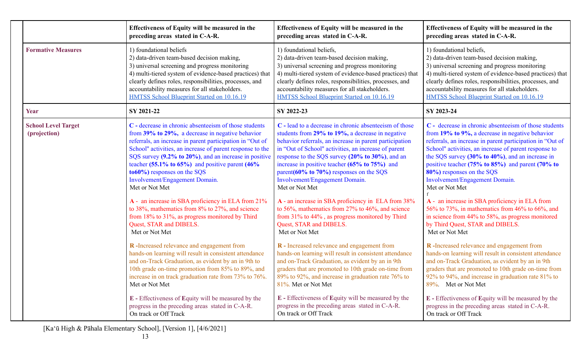| 1) foundational beliefs<br>2) data-driven team-based decision making,<br>3) universal screening and progress monitoring<br>4) multi-tiered system of evidence-based practices) that<br>clearly defines roles, responsibilities, processes, and<br>accountability measures for all stakeholders.<br>HMTSS School Blueprint Started on 10.16.19<br>SY 2021-22<br>C - decrease in chronic absenteeism of those students<br>from 39% to 29%, a decrease in negative behavior<br>referrals, an increase in parent participation in "Out of | 1) foundational beliefs,<br>2) data-driven team-based decision making,<br>3) universal screening and progress monitoring<br>4) multi-tiered system of evidence-based practices) that<br>clearly defines roles, responsibilities, processes, and<br>accountability measures for all stakeholders.<br>HMTSS School Blueprint Started on 10.16.19<br>SY 2022-23<br>C - lead to a decrease in chronic absenteeism of those<br>students from 29% to 19%, a decrease in negative                                                                        | 1) foundational beliefs,<br>2) data-driven team-based decision making,<br>3) universal screening and progress monitoring<br>4) multi-tiered system of evidence-based practices) that<br>clearly defines roles, responsibilities, processes, and<br>accountability measures for all stakeholders.<br>HMTSS School Blueprint Started on 10.16.19<br>SY 2023-24<br>C - decrease in chronic absenteeism of those students                                                                                                                                                                                                      |
|---------------------------------------------------------------------------------------------------------------------------------------------------------------------------------------------------------------------------------------------------------------------------------------------------------------------------------------------------------------------------------------------------------------------------------------------------------------------------------------------------------------------------------------|---------------------------------------------------------------------------------------------------------------------------------------------------------------------------------------------------------------------------------------------------------------------------------------------------------------------------------------------------------------------------------------------------------------------------------------------------------------------------------------------------------------------------------------------------|----------------------------------------------------------------------------------------------------------------------------------------------------------------------------------------------------------------------------------------------------------------------------------------------------------------------------------------------------------------------------------------------------------------------------------------------------------------------------------------------------------------------------------------------------------------------------------------------------------------------------|
|                                                                                                                                                                                                                                                                                                                                                                                                                                                                                                                                       |                                                                                                                                                                                                                                                                                                                                                                                                                                                                                                                                                   |                                                                                                                                                                                                                                                                                                                                                                                                                                                                                                                                                                                                                            |
|                                                                                                                                                                                                                                                                                                                                                                                                                                                                                                                                       |                                                                                                                                                                                                                                                                                                                                                                                                                                                                                                                                                   |                                                                                                                                                                                                                                                                                                                                                                                                                                                                                                                                                                                                                            |
| School" activities, an increase of parent response to the<br>SQS survey (9.2% to 20%), and an increase in positive<br>teacher $(55.1\%$ to $65\%)$ and positive parent $(46\%$<br>$\text{to} 60\%$ ) responses on the SQS<br>Involvement/Engagement Domain.<br>Met or Not Met<br>A - an increase in SBA proficiency in ELA from 21%<br>to 38%, mathematics from 8% to 27%, and science<br>from 18% to 31%, as progress monitored by Third<br>Quest, STAR and DIBELS.<br>Met or Not Met                                                | behavior referrals, an increase in parent participation<br>in "Out of School" activities, an increase of parent<br>response to the SQS survey (20% to 30%), and an<br>increase in positive teacher $(65\% \text{ to } 75\%)$ and<br>parent( $60\%$ to $70\%$ ) responses on the SQS<br>Involvement/Engagement Domain.<br>Met or Not Met<br>A - an increase in SBA proficiency in ELA from 38%<br>to 56%, mathematics from 27% to 46%, and science<br>from 31% to 44%, as progress monitored by Third<br>Quest, STAR and DIBELS.<br>Met or Not Met | from 19% to 9%, a decrease in negative behavior<br>referrals, an increase in parent participation in "Out of<br>School" activities, an increase of parent response to<br>the SQS survey $(30\% \text{ to } 40\%)$ , and an increase in<br>positive teacher $(75\% \text{ to } 85\%)$ and parent $(70\% \text{ to } 85\%)$<br>80%) responses on the SQS<br>Involvement/Engagement Domain.<br>Met or Not Met<br>A - an increase in SBA proficiency in ELA from<br>56% to 73%, in mathematics from 46% to 66%, and<br>in science from 44% to 58%, as progress monitored<br>by Third Quest, STAR and DIBELS.<br>Met or Not Met |
| R-Increased relevance and engagement from<br>hands-on learning will result in consistent attendance<br>and on-Track Graduation, as evident by an in 9th to<br>10th grade on-time promotion from 85% to 89%, and<br>increase in on track graduation rate from 73% to 76%.<br>Met or Not Met<br>E - Effectiveness of Equity will be measured by the                                                                                                                                                                                     | R - Increased relevance and engagement from<br>hands-on learning will result in consistent attendance<br>and on-Track Graduation, as evident by an in 9th<br>graders that are promoted to 10th grade on-time from<br>89% to 92%, and increase in graduation rate 76% to<br>81%. Met or Not Met<br>E - Effectiveness of Equity will be measured by the                                                                                                                                                                                             | R-Increased relevance and engagement from<br>hands-on learning will result in consistent attendance<br>and on-Track Graduation, as evident by an in 9th<br>graders that are promoted to 10th grade on-time from<br>92% to 94%, and increase in graduation rate 81% to<br>89%. Met or Not Met<br>E - Effectiveness of Equity will be measured by the<br>progress in the preceding areas stated in C-A-R.                                                                                                                                                                                                                    |
|                                                                                                                                                                                                                                                                                                                                                                                                                                                                                                                                       | progress in the preceding areas stated in C-A-R.<br>On track or Off Track                                                                                                                                                                                                                                                                                                                                                                                                                                                                         | progress in the preceding areas stated in C-A-R.<br>On track or Off Track                                                                                                                                                                                                                                                                                                                                                                                                                                                                                                                                                  |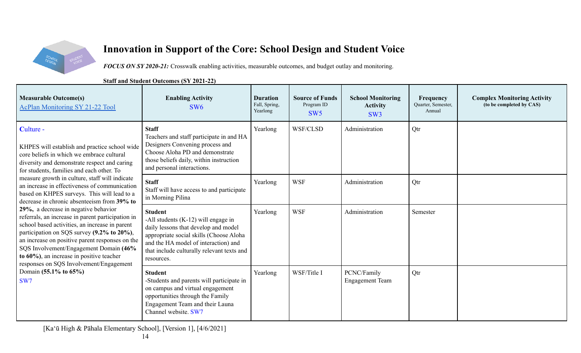

# **Innovation in Support of the Core: School Design and Student Voice**

*FOCUS ON SY 2020-21:* Crosswalk enabling activities, measurable outcomes, and budget outlay and monitoring.

**Staff and Student Outcomes (SY 2021-22)**

| <b>Measurable Outcome(s)</b><br><b>AcPlan Monitoring SY 21-22 Tool</b>                                                                                                                                                                                                                                                                                                                                                                                                                                                                                                                                                                                                                                                                                                                                                             | <b>Enabling Activity</b><br>SW <sub>6</sub>                                                                                                                                                                                                    | <b>Duration</b><br>Fall, Spring,<br>Yearlong | <b>Source of Funds</b><br>Program ID<br>SW <sub>5</sub> | <b>School Monitoring</b><br><b>Activity</b><br>SW <sub>3</sub> | <b>Frequency</b><br>Quarter, Semester,<br>Annual | <b>Complex Monitoring Activity</b><br>(to be completed by CAS) |
|------------------------------------------------------------------------------------------------------------------------------------------------------------------------------------------------------------------------------------------------------------------------------------------------------------------------------------------------------------------------------------------------------------------------------------------------------------------------------------------------------------------------------------------------------------------------------------------------------------------------------------------------------------------------------------------------------------------------------------------------------------------------------------------------------------------------------------|------------------------------------------------------------------------------------------------------------------------------------------------------------------------------------------------------------------------------------------------|----------------------------------------------|---------------------------------------------------------|----------------------------------------------------------------|--------------------------------------------------|----------------------------------------------------------------|
| Culture -<br>KHPES will establish and practice school wide<br>core beliefs in which we embrace cultural<br>diversity and demonstrate respect and caring<br>for students, families and each other. To<br>measure growth in culture, staff will indicate<br>an increase in effectiveness of communication<br>based on KHPES surveys. This will lead to a<br>decrease in chronic absenteeism from 39% to<br>29%, a decrease in negative behavior<br>referrals, an increase in parent participation in<br>school based activities, an increase in parent<br>participation on SQS survey (9.2% to 20%),<br>an increase on positive parent responses on the<br>SQS Involvement/Engagement Domain (46%<br>to 60%), an increase in positive teacher<br>responses on SQS Involvement/Engagement<br>Domain (55.1% to 65%)<br>SW <sub>7</sub> | <b>Staff</b><br>Teachers and staff participate in and HA<br>Designers Convening process and<br>Choose Aloha PD and demonstrate<br>those beliefs daily, within instruction<br>and personal interactions.                                        | Yearlong                                     | WSF/CLSD                                                | Administration                                                 | Qtr                                              |                                                                |
|                                                                                                                                                                                                                                                                                                                                                                                                                                                                                                                                                                                                                                                                                                                                                                                                                                    | <b>Staff</b><br>Staff will have access to and participate<br>in Morning Pilina                                                                                                                                                                 | Yearlong                                     | <b>WSF</b>                                              | Administration                                                 | Qtr                                              |                                                                |
|                                                                                                                                                                                                                                                                                                                                                                                                                                                                                                                                                                                                                                                                                                                                                                                                                                    | <b>Student</b><br>-All students $(K-12)$ will engage in<br>daily lessons that develop and model<br>appropriate social skills (Choose Aloha<br>and the HA model of interaction) and<br>that include culturally relevant texts and<br>resources. | Yearlong                                     | <b>WSF</b>                                              | Administration                                                 | Semester                                         |                                                                |
|                                                                                                                                                                                                                                                                                                                                                                                                                                                                                                                                                                                                                                                                                                                                                                                                                                    | <b>Student</b><br>-Students and parents will participate in<br>on campus and virtual engagement<br>opportunities through the Family<br>Engagement Team and their Launa<br>Channel website. SW7                                                 | Yearlong                                     | WSF/Title I                                             | PCNC/Family<br><b>Engagement Team</b>                          | Qtr                                              |                                                                |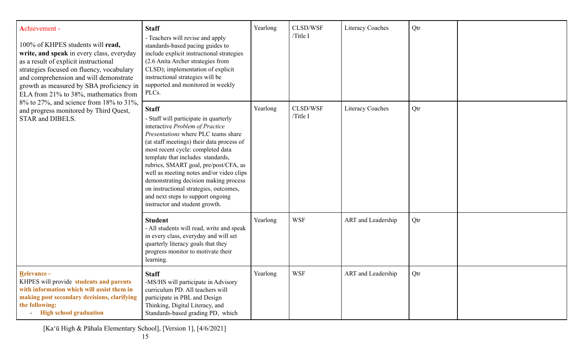| Achievement -<br>100% of KHPES students will read,<br>write, and speak in every class, everyday<br>as a result of explicit instructional<br>strategies focused on fluency, vocabulary<br>and comprehension and will demonstrate<br>growth as measured by SBA proficiency in<br>ELA from 21% to 38%, mathematics from<br>8% to 27%, and science from 18% to 31%,<br>and progress monitored by Third Quest,<br>STAR and DIBELS. | <b>Staff</b><br>- Teachers will revise and apply<br>standards-based pacing guides to<br>include explicit instructional strategies<br>(2.6 Anita Archer strategies from<br>CLSD); implementation of explicit<br>instructional strategies will be<br>supported and monitored in weekly<br>PLCs.                                                                                                                                                                                                         | Yearlong | CLSD/WSF<br>/Title I | <b>Literacy Coaches</b> | Qtr |  |
|-------------------------------------------------------------------------------------------------------------------------------------------------------------------------------------------------------------------------------------------------------------------------------------------------------------------------------------------------------------------------------------------------------------------------------|-------------------------------------------------------------------------------------------------------------------------------------------------------------------------------------------------------------------------------------------------------------------------------------------------------------------------------------------------------------------------------------------------------------------------------------------------------------------------------------------------------|----------|----------------------|-------------------------|-----|--|
|                                                                                                                                                                                                                                                                                                                                                                                                                               | <b>Staff</b><br>- Staff will participate in quarterly<br>interactive Problem of Practice<br>Presentations where PLC teams share<br>(at staff meetings) their data process of<br>most recent cycle: completed data<br>template that includes standards,<br>rubrics, SMART goal, pre/post/CFA, as<br>well as meeting notes and/or video clips<br>demonstrating decision making process<br>on instructional strategies, outcomes,<br>and next steps to support ongoing<br>instructor and student growth. | Yearlong | CLSD/WSF<br>/Title I | <b>Literacy Coaches</b> | Qtr |  |
|                                                                                                                                                                                                                                                                                                                                                                                                                               | <b>Student</b><br>- All students will read, write and speak<br>in every class, everyday and will set<br>quarterly literacy goals that they<br>progress monitor to motivate their<br>learning.                                                                                                                                                                                                                                                                                                         | Yearlong | <b>WSF</b>           | ART and Leadership      | Qtr |  |
| Relevance -<br>KHPES will provide students and parents<br>with information which will assist them in<br>making post secondary decisions, clarifying<br>the following:<br><b>High school graduation</b>                                                                                                                                                                                                                        | <b>Staff</b><br>-MS/HS will participate in Advisory<br>curriculum PD. All teachers will<br>participate in PBL and Design<br>Thinking, Digital Literacy, and<br>Standards-based grading PD, which                                                                                                                                                                                                                                                                                                      | Yearlong | <b>WSF</b>           | ART and Leadership      | Qtr |  |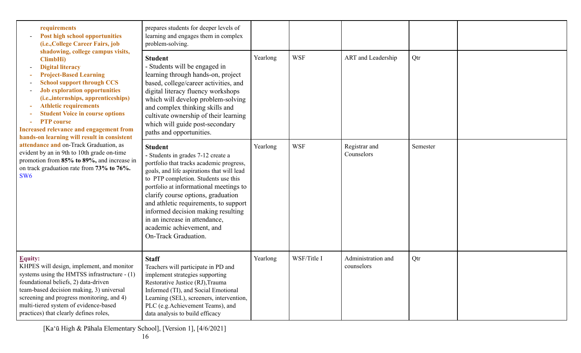| requirements<br><b>Post high school opportunities</b><br>(i.e., College Career Fairs, job<br>shadowing, college campus visits,<br>ClimbHi)<br><b>Digital literacy</b><br><b>Project-Based Learning</b><br><b>School support through CCS</b><br><b>Job exploration opportunities</b><br>(i.e., internships, apprenticeships)<br><b>Athletic requirements</b><br><b>Student Voice in course options</b><br><b>PTP</b> course<br>Increased relevance and engagement from<br>hands-on learning will result in consistent<br>attendance and on-Track Graduation, as<br>evident by an in 9th to 10th grade on-time<br>promotion from 85% to 89%, and increase in<br>on track graduation rate from 73% to 76%.<br>SW <sub>6</sub> | prepares students for deeper levels of<br>learning and engages them in complex<br>problem-solving.                                                                                                                                                                                                                                                                                                                                          |          |             |                                  |          |  |
|----------------------------------------------------------------------------------------------------------------------------------------------------------------------------------------------------------------------------------------------------------------------------------------------------------------------------------------------------------------------------------------------------------------------------------------------------------------------------------------------------------------------------------------------------------------------------------------------------------------------------------------------------------------------------------------------------------------------------|---------------------------------------------------------------------------------------------------------------------------------------------------------------------------------------------------------------------------------------------------------------------------------------------------------------------------------------------------------------------------------------------------------------------------------------------|----------|-------------|----------------------------------|----------|--|
|                                                                                                                                                                                                                                                                                                                                                                                                                                                                                                                                                                                                                                                                                                                            | <b>Student</b><br>- Students will be engaged in<br>learning through hands-on, project<br>based, college/career activities, and<br>digital literacy fluency workshops<br>which will develop problem-solving<br>and complex thinking skills and<br>cultivate ownership of their learning<br>which will guide post-secondary<br>paths and opportunities.                                                                                       | Yearlong | <b>WSF</b>  | ART and Leadership               | Qtr      |  |
|                                                                                                                                                                                                                                                                                                                                                                                                                                                                                                                                                                                                                                                                                                                            | <b>Student</b><br>- Students in grades 7-12 create a<br>portfolio that tracks academic progress,<br>goals, and life aspirations that will lead<br>to PTP completion. Students use this<br>portfolio at informational meetings to<br>clarify course options, graduation<br>and athletic requirements, to support<br>informed decision making resulting<br>in an increase in attendance,<br>academic achievement, and<br>On-Track Graduation. | Yearlong | <b>WSF</b>  | Registrar and<br>Counselors      | Semester |  |
| <b>Equity:</b><br>KHPES will design, implement, and monitor<br>systems using the HMTSS infrastructure - (1)<br>foundational beliefs, 2) data-driven<br>team-based decision making, 3) universal<br>screening and progress monitoring, and 4)<br>multi-tiered system of evidence-based<br>practices) that clearly defines roles,                                                                                                                                                                                                                                                                                                                                                                                            | <b>Staff</b><br>Teachers will participate in PD and<br>implement strategies supporting<br>Restorative Justice (RJ), Trauma<br>Informed (TI), and Social Emotional<br>Learning (SEL), screeners, intervention,<br>PLC (e.g.Achievement Teams), and<br>data analysis to build efficacy                                                                                                                                                        | Yearlong | WSF/Title I | Administration and<br>counselors | Qtr      |  |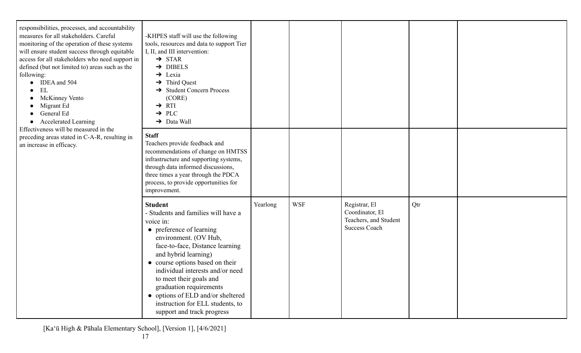| responsibilities, processes, and accountability<br>measures for all stakeholders. Careful<br>monitoring of the operation of these systems<br>will ensure student success through equitable<br>access for all stakeholders who need support in<br>defined (but not limited to) areas such as the<br>following:<br>$\bullet$ IDEA and 504<br>EL<br>McKinney Vento<br>Migrant Ed<br>General Ed<br><b>Accelerated Learning</b><br>$\bullet$<br>Effectiveness will be measured in the<br>preceding areas stated in C-A-R, resulting in<br>an increase in efficacy. | -KHPES staff will use the following<br>tools, resources and data to support Tier<br>I, II, and III intervention:<br>$\rightarrow$ STAR<br>$\rightarrow$ DIBELS<br>$\rightarrow$ Lexia<br>$\rightarrow$ Third Quest<br>$\rightarrow$ Student Concern Process<br>(CORE)<br>$\rightarrow$ RTI<br>$\rightarrow$ PLC<br>$\rightarrow$ Data Wall                                                                             |          |            |                                                                                   |     |  |
|---------------------------------------------------------------------------------------------------------------------------------------------------------------------------------------------------------------------------------------------------------------------------------------------------------------------------------------------------------------------------------------------------------------------------------------------------------------------------------------------------------------------------------------------------------------|------------------------------------------------------------------------------------------------------------------------------------------------------------------------------------------------------------------------------------------------------------------------------------------------------------------------------------------------------------------------------------------------------------------------|----------|------------|-----------------------------------------------------------------------------------|-----|--|
|                                                                                                                                                                                                                                                                                                                                                                                                                                                                                                                                                               | <b>Staff</b><br>Teachers provide feedback and<br>recommendations of change on HMTSS<br>infrastructure and supporting systems,<br>through data informed discussions,<br>three times a year through the PDCA<br>process, to provide opportunities for<br>improvement.                                                                                                                                                    |          |            |                                                                                   |     |  |
|                                                                                                                                                                                                                                                                                                                                                                                                                                                                                                                                                               | <b>Student</b><br>- Students and families will have a<br>voice in:<br>• preference of learning<br>environment. (OV Hub,<br>face-to-face, Distance learning<br>and hybrid learning)<br>• course options based on their<br>individual interests and/or need<br>to meet their goals and<br>graduation requirements<br>• options of ELD and/or sheltered<br>instruction for ELL students, to<br>support and track progress | Yearlong | <b>WSF</b> | Registrar, El<br>Coordinator, El<br>Teachers, and Student<br><b>Success Coach</b> | Qtr |  |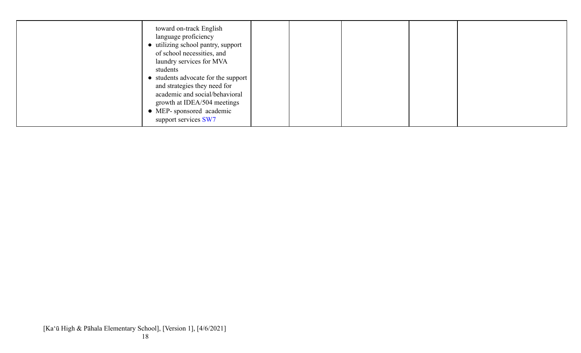| toward on-track English<br>language proficiency<br>• utilizing school pantry, support<br>of school necessities, and<br>laundry services for MVA<br>students<br>• students advocate for the support<br>and strategies they need for<br>academic and social/behavioral<br>growth at IDEA/504 meetings<br>• MEP-sponsored academic |  |  |
|---------------------------------------------------------------------------------------------------------------------------------------------------------------------------------------------------------------------------------------------------------------------------------------------------------------------------------|--|--|
| support services SW7                                                                                                                                                                                                                                                                                                            |  |  |